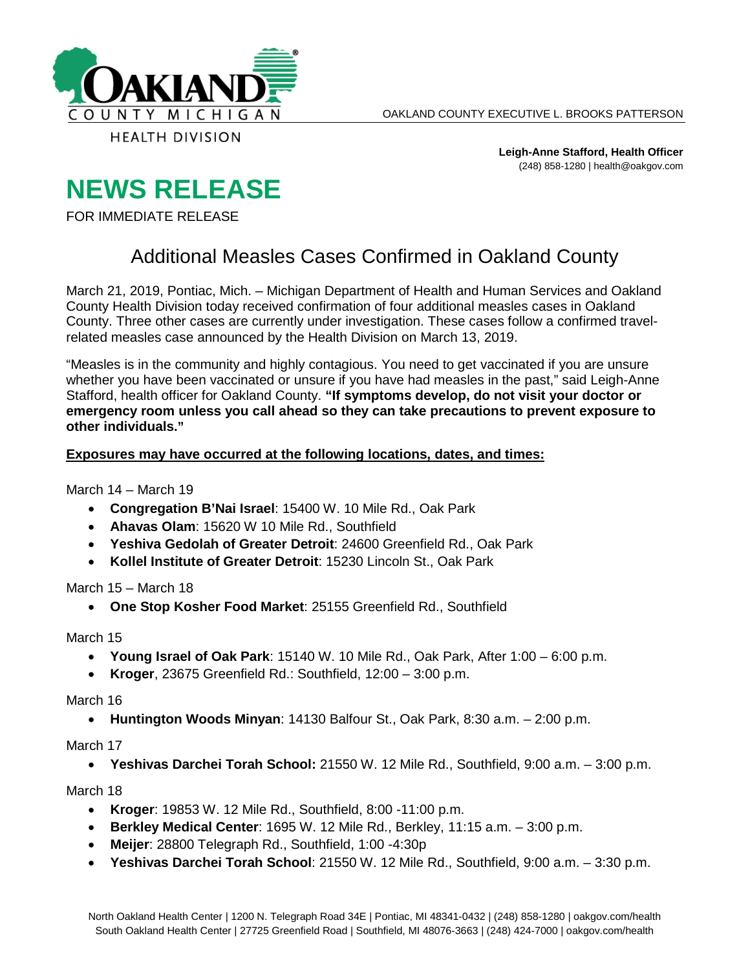

**Leigh-Anne Stafford, Health Officer** (248) 858-1280 | health@oakgov.com

## **NEWS RELEASE**

FOR IMMEDIATE RELEASE

## Additional Measles Cases Confirmed in Oakland County

March 21, 2019, Pontiac, Mich. – Michigan Department of Health and Human Services and Oakland County Health Division today received confirmation of four additional measles cases in Oakland County. Three other cases are currently under investigation. These cases follow a confirmed travelrelated measles case announced by the Health Division on March 13, 2019.

"Measles is in the community and highly contagious. You need to get vaccinated if you are unsure whether you have been vaccinated or unsure if you have had measles in the past," said Leigh-Anne Stafford, health officer for Oakland County. **"If symptoms develop, do not visit your doctor or emergency room unless you call ahead so they can take precautions to prevent exposure to other individuals."**

## **Exposures may have occurred at the following locations, dates, and times:**

March 14 – March 19

- **Congregation B'Nai Israel**: 15400 W. 10 Mile Rd., Oak Park
- **Ahavas Olam**: 15620 W 10 Mile Rd., Southfield
- **Yeshiva Gedolah of Greater Detroit**: 24600 Greenfield Rd., Oak Park
- **Kollel Institute of Greater Detroit**: 15230 Lincoln St., Oak Park

March 15 – March 18

• **One Stop Kosher Food Market**: 25155 Greenfield Rd., Southfield

March 15

- **Young Israel of Oak Park**: 15140 W. 10 Mile Rd., Oak Park, After 1:00 6:00 p.m.
- **Kroger**, 23675 Greenfield Rd.: Southfield, 12:00 3:00 p.m.

March 16

• **Huntington Woods Minyan**: 14130 Balfour St., Oak Park, 8:30 a.m. – 2:00 p.m.

March 17

• **Yeshivas Darchei Torah School:** 21550 W. 12 Mile Rd., Southfield, 9:00 a.m. – 3:00 p.m.

March 18

- **Kroger**: 19853 W. 12 Mile Rd., Southfield, 8:00 -11:00 p.m.
- **Berkley Medical Center**: 1695 W. 12 Mile Rd., Berkley, 11:15 a.m. 3:00 p.m.
- **Meijer**: 28800 Telegraph Rd., Southfield, 1:00 -4:30p
- **Yeshivas Darchei Torah School**: 21550 W. 12 Mile Rd., Southfield, 9:00 a.m. 3:30 p.m.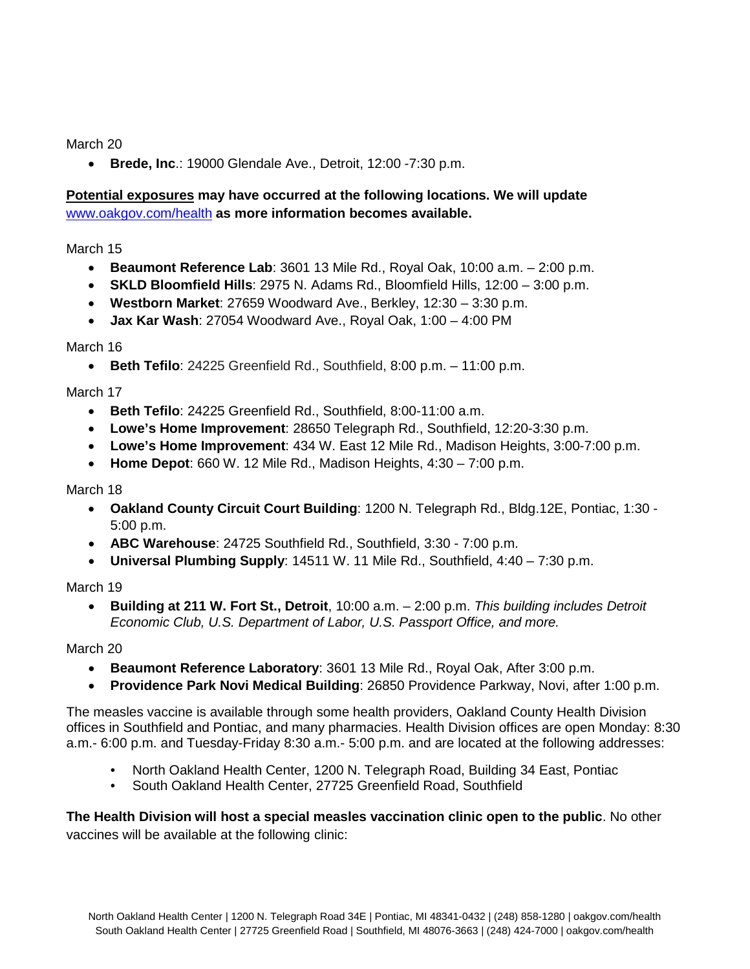March 20

• **Brede, Inc**.: 19000 Glendale Ave., Detroit, 12:00 -7:30 p.m.

## **Potential exposures may have occurred at the following locations. We will update**  [www.oakgov.com/health](http://www.oakgov.com/health) **as more information becomes available.**

March 15

- **Beaumont Reference Lab**: 3601 13 Mile Rd., Royal Oak, 10:00 a.m. 2:00 p.m.
- **SKLD Bloomfield Hills**: 2975 N. Adams Rd., Bloomfield Hills, 12:00 3:00 p.m.
- **Westborn Market**: 27659 Woodward Ave., Berkley, 12:30 3:30 p.m.
- **Jax Kar Wash**: 27054 Woodward Ave., Royal Oak, 1:00 4:00 PM

March 16

• **Beth Tefilo**: 24225 Greenfield Rd., Southfield, 8:00 p.m. – 11:00 p.m.

March 17

- **Beth Tefilo**: 24225 Greenfield Rd., Southfield, 8:00-11:00 a.m.
- **Lowe's Home Improvement**: 28650 Telegraph Rd., Southfield, 12:20-3:30 p.m.
- **Lowe's Home Improvement**: 434 W. East 12 Mile Rd., Madison Heights, 3:00-7:00 p.m.
- **Home Depot**: 660 W. 12 Mile Rd., Madison Heights, 4:30 7:00 p.m.

March 18

- **Oakland County Circuit Court Building**: 1200 N. Telegraph Rd., Bldg.12E, Pontiac, 1:30 5:00 p.m.
- **ABC Warehouse**: 24725 Southfield Rd., Southfield, 3:30 7:00 p.m.
- **Universal Plumbing Supply**: 14511 W. 11 Mile Rd., Southfield, 4:40 7:30 p.m.

March 19

• **Building at 211 W. Fort St., Detroit**, 10:00 a.m. – 2:00 p.m. *This building includes Detroit Economic Club, U.S. Department of Labor, U.S. Passport Office, and more.*

March 20

- **Beaumont Reference Laboratory**: 3601 13 Mile Rd., Royal Oak, After 3:00 p.m.
- **Providence Park Novi Medical Building**: 26850 Providence Parkway, Novi, after 1:00 p.m.

The measles vaccine is available through some health providers, Oakland County Health Division offices in Southfield and Pontiac, and many pharmacies. Health Division offices are open Monday: 8:30 a.m.- 6:00 p.m. and Tuesday-Friday 8:30 a.m.- 5:00 p.m. and are located at the following addresses:

- North Oakland Health Center, 1200 N. Telegraph Road, Building 34 East, Pontiac
- South Oakland Health Center, 27725 Greenfield Road, Southfield

**The Health Division will host a special measles vaccination clinic open to the public**. No other vaccines will be available at the following clinic: